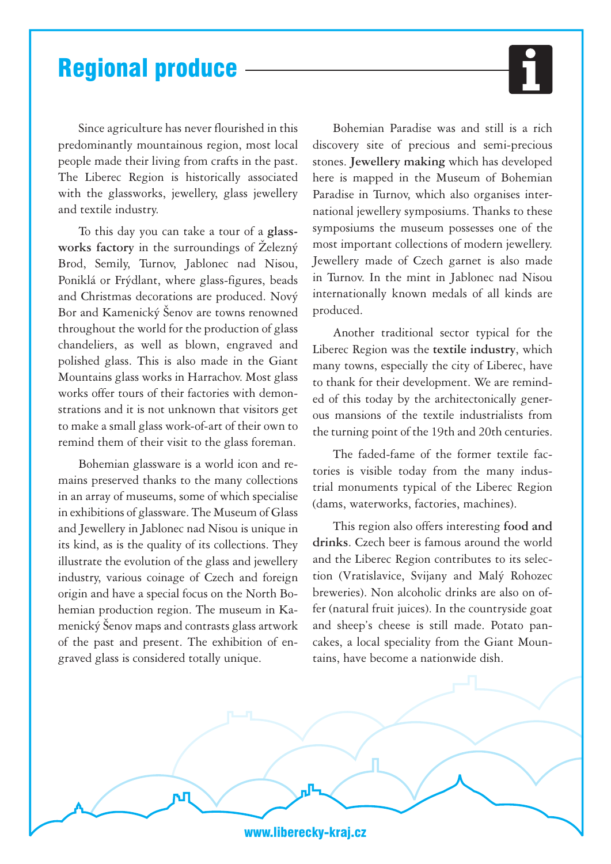## Regional produce

Since agriculture has never flourished in this predominantly mountainous region, most local people made their living from crafts in the past. The Liberec Region is historically associated with the glassworks, jewellery, glass jewellery and textile industry.

To this day you can take a tour of a **glassworks factory** in the surroundings of Železný Brod, Semily, Turnov, Jablonec nad Nisou, Poniklá or Frýdlant, where glass-figures, beads and Christmas decorations are produced. Nový Bor and Kamenický Šenov are towns renowned throughout the world for the production of glass chandeliers, as well as blown, engraved and polished glass. This is also made in the Giant Mountains glass works in Harrachov. Most glass works offer tours of their factories with demonstrations and it is not unknown that visitors get to make a small glass work-of-art of their own to remind them of their visit to the glass foreman.

Bohemian glassware is a world icon and remains preserved thanks to the many collections in an array of museums, some of which specialise in exhibitions of glassware. The Museum of Glass and Jewellery in Jablonec nad Nisou is unique in its kind, as is the quality of its collections. They illustrate the evolution of the glass and jewellery industry, various coinage of Czech and foreign origin and have a special focus on the North Bohemian production region. The museum in Kamenický Šenov maps and contrasts glass artwork of the past and present. The exhibition of engraved glass is considered totally unique.

Bohemian Paradise was and still is a rich discovery site of precious and semi-precious stones. **Jewellery making** which has developed here is mapped in the Museum of Bohemian Paradise in Turnov, which also organises international jewellery symposiums. Thanks to these symposiums the museum possesses one of the most important collections of modern jewellery. Jewellery made of Czech garnet is also made in Turnov. In the mint in Jablonec nad Nisou internationally known medals of all kinds are produced.

Another traditional sector typical for the Liberec Region was the **textile industry**, which many towns, especially the city of Liberec, have to thank for their development. We are reminded of this today by the architectonically generous mansions of the textile industrialists from the turning point of the 19th and 20th centuries.

The faded-fame of the former textile factories is visible today from the many industrial monuments typical of the Liberec Region (dams, waterworks, factories, machines).

This region also offers interesting **food and drinks**. Czech beer is famous around the world and the Liberec Region contributes to its selection (Vratislavice, Svijany and Malý Rohozec breweries). Non alcoholic drinks are also on offer (natural fruit juices). In the countryside goat and sheep's cheese is still made. Potato pancakes, a local speciality from the Giant Mountains, have become a nationwide dish.



www.liberecky-kraj.cz